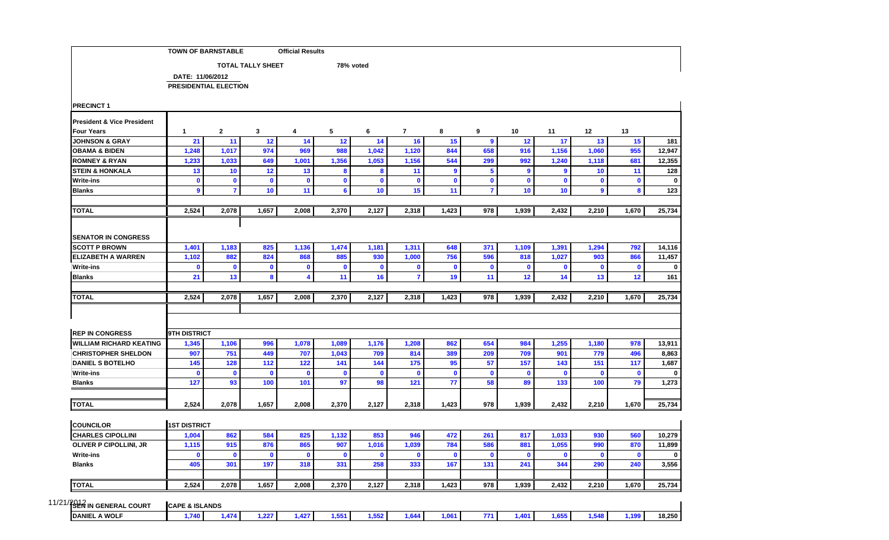| <b>TOWN OF BARNSTABLE</b> | <b>Official Results</b> |
|---------------------------|-------------------------|

 **TOTAL TALLY SHEET 78% voted**78% voted

 **DATE: 11/06/2012**

**PRESIDENTIAL ELECTION**

| <b>President &amp; Vice President</b>                    |                              |                |              |                         |                  |                 |                |             |                |                |             |              |              |        |
|----------------------------------------------------------|------------------------------|----------------|--------------|-------------------------|------------------|-----------------|----------------|-------------|----------------|----------------|-------------|--------------|--------------|--------|
| <b>Four Years</b>                                        | $\mathbf{1}$                 | $\mathbf{2}$   | 3            | 4                       | 5                | 6               | $\overline{7}$ | 8           | 9              | 10             | 11          | 12           | 13           |        |
| <b>JOHNSON &amp; GRAY</b>                                | 21                           | 11             | 12           | 14                      | 12               | 14              | 16             | 15          | $\overline{9}$ | 12             | 17          | 13           | 15           |        |
| <b>OBAMA &amp; BIDEN</b>                                 | 1,248                        | 1,017          | 974          | 969                     | 988              | 1,042           | 1,120          | 844         | 658            | 916            | 1,156       | 1,060        | 955          |        |
| <b>ROMNEY &amp; RYAN</b>                                 | 1,233                        | 1,033          | 649          | 1,001                   | 1,356            | 1,053           | 1,156          | 544         | 299            | 992            | 1,240       | 1,118        | 681          |        |
| <b>STEIN &amp; HONKALA</b>                               | 13                           | 10             | 12           | 13                      | $\boldsymbol{8}$ | 8               | 11             | 9           | 5              | $\overline{9}$ | 9           | 10           | 11           |        |
| <b>Write-ins</b>                                         | $\mathbf{0}$                 | $\mathbf{0}$   | $\mathbf{0}$ | $\mathbf{0}$            | $\mathbf 0$      | $\bullet$       | $\mathbf{0}$   | $\mathbf 0$ | $\bullet$      | $\bullet$      | $\mathbf 0$ | $\mathbf 0$  | $\mathbf 0$  |        |
| <b>Blanks</b>                                            | $\mathbf{9}$                 | $\overline{7}$ | 10           | 11                      | $6\phantom{a}$   | 10 <sup>°</sup> | 15             | 11          | $\overline{7}$ | 10             | 10          | $\mathbf{9}$ | 8            |        |
| <b>TOTAL</b>                                             | 2,524                        | 2,078          | 1,657        | 2,008                   | 2,370            | 2,127           | 2,318          | 1,423       | 978            | 1,939          | 2,432       | 2,210        | 1,670        | 25,734 |
| <b>SENATOR IN CONGRESS</b><br><b>ISCOTT P BROWN</b>      | 1,401                        | 1,183          | 825          | 1,136                   | 1,474            | 1,181           | 1,311          | 648         | 371            | 1,109          | 1,391       | 1,294        | 792          |        |
| <b>ELIZABETH A WARREN</b>                                | 1,102                        | 882            | 824          | 868                     | 885              | 930             | 1,000          | 756         | 596            | 818            | 1,027       | 903          | 866          |        |
| <b>Write-ins</b>                                         | $\mathbf{0}$                 | $\mathbf 0$    | $\mathbf 0$  | $\mathbf 0$             | $\mathbf 0$      | $\bullet$       | $\mathbf 0$    | $\mathbf 0$ | $\mathbf 0$    | $\bullet$      | 0           | $\mathbf 0$  | $\mathbf 0$  |        |
| <b>Blanks</b>                                            | 21                           | 13             | $\bf{8}$     | $\overline{\mathbf{4}}$ | 11               | 16              | $\overline{7}$ | 19          | 11             | 12             | 14          | 13           | 12           |        |
|                                                          |                              |                |              |                         |                  |                 |                |             |                |                |             |              |              |        |
| <b>TOTAL</b>                                             | 2,524                        | 2,078          | 1,657        | 2,008                   | 2,370            | 2,127           | 2,318          | 1,423       | 978            | 1,939          | 2,432       | 2,210        | 1,670        |        |
| <b>REP IN CONGRESS</b><br><b>WILLIAM RICHARD KEATING</b> | <b>9TH DISTRICT</b><br>1,345 | 1,106          | 996          | 1,078                   | 1,089            | 1,176           | 1,208          | 862         | 654            | 984            | 1,255       | 1,180        | 978          |        |
|                                                          |                              |                |              |                         |                  |                 |                |             |                |                |             |              |              |        |
| <b>CHRISTOPHER SHELDON</b>                               | 907                          | 751            | 449          | 707                     | 1,043            | 709             | 814            | 389         | 209            | 709            | 901         | 779          | 496          |        |
| <b>DANIEL S BOTELHO</b>                                  | 145                          | 128            | 112          | 122                     | 141              | 144             | 175            | 95          | 57             | 157            | 143         | 151          | 117          |        |
| <b>Write-ins</b>                                         | $\mathbf{0}$                 | $\mathbf 0$    | $\mathbf{0}$ | $\mathbf{0}$            | $\mathbf 0$      | $\mathbf{0}$    | $\mathbf{0}$   | $\mathbf 0$ | $\mathbf{0}$   | $\mathbf 0$    | $\mathbf 0$ | $\mathbf 0$  | $\mathbf 0$  |        |
| <b>Blanks</b>                                            | 127                          | 93             | 100          | 101                     | 97               | 98              | 121            | 77          | 58             | 89             | 133         | 100          | 79           |        |
| <b>TOTAL</b>                                             | 2,524                        | 2,078          | 1,657        | 2,008                   | 2,370            | 2,127           | 2,318          | 1,423       | 978            | 1,939          | 2,432       | 2,210        | 1,670        |        |
| <b>COUNCILOR</b>                                         | <b>1ST DISTRICT</b>          |                |              |                         |                  |                 |                |             |                |                |             |              |              |        |
| <b>CHARLES CIPOLLINI</b>                                 | 1,004                        | 862            | 584          | 825                     | 1,132            | 853             | 946            | 472         | 261            | 817            | 1,033       | 930          | 560          |        |
| OLIVER P CIPOLLINI, JR                                   | 1,115                        | 915            | 876          | 865                     | 907              | 1,016           | 1,039          | 784         | 586            | 881            | 1,055       | 990          | 870          |        |
| <b>Write-ins</b>                                         | $\mathbf 0$                  | $\mathbf 0$    | $\mathbf 0$  | $\mathbf{0}$            | $\mathbf 0$      | $\mathbf 0$     | $\mathbf 0$    | $\mathbf 0$ | $\mathbf{0}$   | $\mathbf 0$    | $\mathbf 0$ | $\mathbf{0}$ | $\mathbf{0}$ |        |
| <b>Blanks</b>                                            | 405                          | 301            | 197          | 318                     | 331              | 258             | 333            | 167         | 131            | 241            | 344         | 290          | 240          |        |
| <b>TOTAL</b>                                             | 2,524                        | 2.078          | 1,657        | 2,008                   | 2,370            | 2,127           | 2,318          | 1.423       | 978            | 1,939          | 2,432       | 2,210        | 1,670        |        |
|                                                          |                              |                |              |                         |                  |                 |                |             |                |                |             |              |              |        |
|                                                          |                              |                |              |                         |                  |                 |                |             |                |                |             |              |              |        |
| 11/21/2012 IN GENERAL COURT                              | <b>CAPE &amp; ISLANDS</b>    |                | 1,227        |                         | 1,551            |                 |                |             |                |                |             |              |              |        |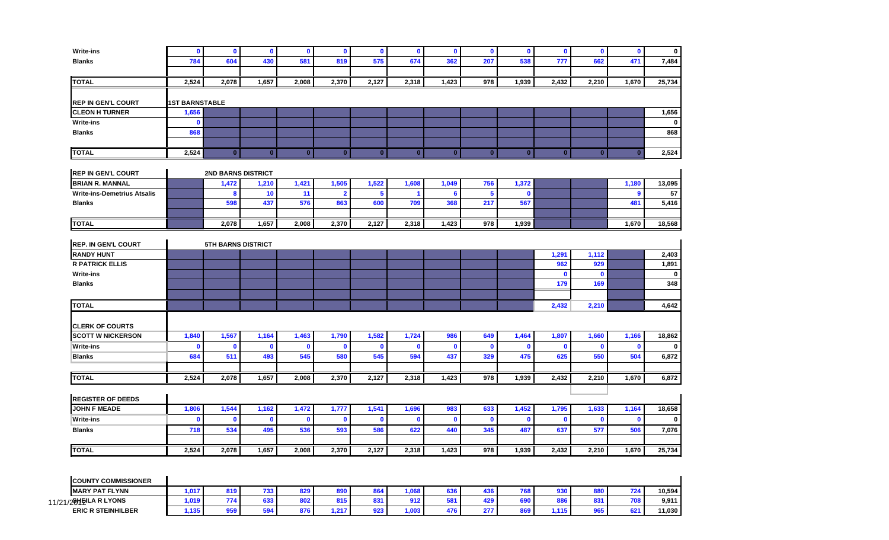| <b>Write-ins</b>                                             | $\mathbf 0$           | $\mathbf{0}$              | $\mathbf 0$    | $\mathbf 0$  | $\mathbf 0$             | $\mathbf 0$    | $\mathbf 0$  | $\mathbf 0$    | $\bullet$    | $\mathbf 0$          | $\mathbf 0$  | $\mathbf 0$  | $\mathbf 0$    | $\mathbf 0$  |
|--------------------------------------------------------------|-----------------------|---------------------------|----------------|--------------|-------------------------|----------------|--------------|----------------|--------------|----------------------|--------------|--------------|----------------|--------------|
| <b>Blanks</b>                                                | 784                   | 604                       | 430            | 581          | 819                     | 575            | 674          | 362            | 207          | 538                  | 777          | 662          | 471            | 7,484        |
|                                                              |                       |                           |                |              |                         |                |              |                |              |                      |              |              |                |              |
| <b>TOTAL</b>                                                 | 2,524                 | 2,078                     | 1,657          | 2,008        | 2,370                   | 2,127          | 2,318        | 1,423          | 978          | 1,939                | 2,432        | 2,210        | 1,670          | 25,734       |
|                                                              |                       |                           |                |              |                         |                |              |                |              |                      |              |              |                |              |
| <b>REP IN GEN'L COURT</b>                                    | <b>1ST BARNSTABLE</b> |                           |                |              |                         |                |              |                |              |                      |              |              |                |              |
| <b>CLEON H TURNER</b>                                        | 1,656                 |                           |                |              |                         |                |              |                |              |                      |              |              |                | 1,656        |
| <b>Write-ins</b>                                             | $\mathbf 0$           |                           |                |              |                         |                |              |                |              |                      |              |              |                | 0            |
| <b>Blanks</b>                                                | 868                   |                           |                |              |                         |                |              |                |              |                      |              |              |                | 868          |
|                                                              |                       |                           |                |              |                         |                |              |                |              |                      |              |              |                |              |
| <b>TOTAL</b>                                                 | 2,524                 | $\overline{0}$            | $\overline{0}$ | $\bf{0}$     | $\mathbf{0}$            | $\overline{0}$ | $\mathbf{0}$ | $\overline{0}$ | $\mathbf{0}$ | $\mathbf{0}$         | $\mathbf{0}$ | $\mathbf{0}$ | $\overline{0}$ | 2,524        |
|                                                              |                       |                           |                |              |                         |                |              |                |              |                      |              |              |                |              |
| <b>REP IN GEN'L COURT</b>                                    |                       | <b>2ND BARNS DISTRICT</b> |                | 1,421        | 1,505                   | 1,522          |              |                | 756          |                      |              |              |                |              |
| <b>BRIAN R. MANNAL</b><br><b>Write-ins-Demetrius Atsalis</b> |                       | 1,472                     | 1,210          | 11           | $\overline{\mathbf{2}}$ | 5              | 1,608<br>-1  | 1,049<br>6     | 5            | 1,372<br>$\mathbf 0$ |              |              | 1,180<br>9     | 13,095<br>57 |
| <b>Blanks</b>                                                |                       | 8<br>598                  | 10<br>437      | 576          | 863                     | 600            | 709          | 368            | 217          | 567                  |              |              | 481            | 5,416        |
|                                                              |                       |                           |                |              |                         |                |              |                |              |                      |              |              |                |              |
| <b>TOTAL</b>                                                 |                       | 2,078                     | 1,657          | 2,008        | 2,370                   | 2,127          | 2,318        | 1,423          | 978          | 1,939                |              |              | 1,670          | 18,568       |
|                                                              |                       |                           |                |              |                         |                |              |                |              |                      |              |              |                |              |
| <b>REP. IN GEN'L COURT</b>                                   |                       | <b>5TH BARNS DISTRICT</b> |                |              |                         |                |              |                |              |                      |              |              |                |              |
| <b>RANDY HUNT</b>                                            |                       |                           |                |              |                         |                |              |                |              |                      | 1,291        | 1,112        |                | 2,403        |
| <b>R PATRICK ELLIS</b>                                       |                       |                           |                |              |                         |                |              |                |              |                      | 962          | 929          |                | 1,891        |
| <b>Write-ins</b>                                             |                       |                           |                |              |                         |                |              |                |              |                      | $\mathbf{0}$ | $\mathbf{0}$ |                | 0            |
| <b>Blanks</b>                                                |                       |                           |                |              |                         |                |              |                |              |                      | 179          | 169          |                | 348          |
|                                                              |                       |                           |                |              |                         |                |              |                |              |                      |              |              |                |              |
| <b>TOTAL</b>                                                 |                       |                           |                |              |                         |                |              |                |              |                      | 2,432        | 2,210        |                | 4,642        |
|                                                              |                       |                           |                |              |                         |                |              |                |              |                      |              |              |                |              |
| <b>CLERK OF COURTS</b>                                       |                       |                           |                |              |                         |                |              |                |              |                      |              |              |                |              |
| <b>SCOTT W NICKERSON</b>                                     | 1,840                 | 1,567                     | 1,164          | 1,463        | 1,790                   | 1,582          | 1,724        | 986            | 649          | 1,464                | 1,807        | 1,660        | 1,166          | 18,862       |
| <b>Write-ins</b>                                             | $\mathbf 0$           | $\mathbf 0$               | $\mathbf 0$    | $\mathbf 0$  | $\mathbf 0$             | $\mathbf 0$    | $\mathbf 0$  | $\mathbf 0$    | $\mathbf{0}$ | $\mathbf 0$          | $\mathbf 0$  | $\mathbf 0$  | $\mathbf 0$    | $\mathbf 0$  |
| <b>Blanks</b>                                                | 684                   | 511                       | 493            | 545          | 580                     | 545            | 594          | 437            | 329          | 475                  | 625          | 550          | 504            | 6,872        |
|                                                              |                       |                           |                |              |                         |                |              |                |              |                      |              |              |                |              |
| <b>TOTAL</b>                                                 | 2,524                 | 2,078                     | 1,657          | 2,008        | 2,370                   | 2,127          | 2,318        | 1,423          | 978          | 1,939                | 2,432        | 2,210        | 1,670          | 6,872        |
|                                                              |                       |                           |                |              |                         |                |              |                |              |                      |              |              |                |              |
| <b>REGISTER OF DEEDS</b>                                     |                       |                           |                |              |                         |                |              |                |              |                      |              |              |                |              |
| <b>JOHN F MEADE</b>                                          | 1,806                 | 1,544                     | 1,162          | 1,472        | 1,777                   | 1,541          | 1,696        | 983            | 633          | 1,452                | 1,795        | 1,633        | 1,164          | 18,658       |
| <b>Write-ins</b>                                             | $\mathbf 0$           | $\mathbf 0$               | $\mathbf{0}$   | $\mathbf{0}$ | $\mathbf{0}$            | $\mathbf 0$    | $\mathbf 0$  | $\mathbf{0}$   | $\mathbf{0}$ | $\mathbf 0$          | $\mathbf{0}$ | $\mathbf 0$  | $\mathbf 0$    | $\mathbf 0$  |
| <b>Blanks</b>                                                | 718                   | 534                       | 495            | 536          | 593                     | 586            | 622          | 440            | 345          | 487                  | 637          | 577          | 506            | 7,076        |
|                                                              |                       |                           |                |              |                         |                |              |                |              |                      |              |              |                |              |
| <b>TOTAL</b>                                                 | 2,524                 | 2,078                     | 1,657          | 2,008        | 2,370                   | 2,127          | 2,318        | 1,423          | 978          | 1,939                | 2,432        | 2,210        | 1,670          | 25,734       |
|                                                              |                       |                           |                |              |                         |                |              |                |              |                      |              |              |                |              |
|                                                              |                       |                           |                |              |                         |                |              |                |              |                      |              |              |                |              |
| <b>COUNTY COMMISSIONER</b>                                   |                       |                           |                |              |                         |                |              |                |              |                      |              |              |                |              |
| <b>MARY PAT FLYNN</b>                                        | 1,017                 | 819                       | 733            | 829          | 890                     | 864            | 1,068        | 636            | 436          | 768                  | 930          | 880          | 724            | 10,594       |
| 11/21/2 <b>아 틴</b> LA R LYONS                                | 1,019                 | 774                       | 633            | 802          | 815                     | 831            | 912          | 581            | 429          | 690                  | 886          | 831          | 708            | 9,911        |
| <b>ERIC R STEINHILBER</b>                                    | 1,135                 | 959                       | 594            | 876          | 1,217                   | 923            | 1,003        | 476            | 277          | 869                  | 1,115        | 965          | 621            | 11,030       |
|                                                              |                       |                           |                |              |                         |                |              |                |              |                      |              |              |                |              |